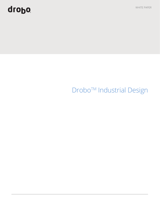# quopo

WHITE PAPER

## Drobo<sup>™</sup> Industrial Design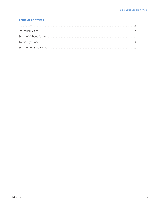### **Table of Contents**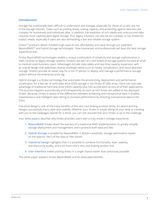#### **Introduction**

Storage has traditionally been difficult to understand and manage, especially for those of us who are not in the storage industry. Tasks such as pooling drives, scaling capacity, and protecting against data loss are complex for businesses and individuals alike. In addition, the explosion of rich media and unstructured data requires more sophisticated digital storage. Plus, legacy solutions can also be too complex or too limited for today's needs, especially if users are also demanding a fast and reliable storage system.

DroboTM products deliver breakthrough ease-of-use, affordability and value through our patented BeyondRAID<sup>™</sup> and hybrid storage technologies. Now businesses and professionals will have the best storage experience ever.

Drobo BeyondRAID technologies enable a unique combination of simplicity and storage sophistication in stark contrast to legacy storage systems. Drobo's are part of a new breed of storage systems focused at small to medium sized business users. Advantages include: data safety and real-time capacity expansion, with an overall design that addresses diverse workload needs such as media, virtualization, and cloud-attached storage. Drobo's provide an easier way for a non-IT person to deploy and manage a performance storage system without the enterprise price tag.

Hybrid storage is a Drobo technology that automates the provisioning, deployment and performance acceleration for a fast tier of solid state drive (SSD) storage in the Drobo B1200i array. Users can now take advantage of traditional hard disk drive (HDD) capacity plus SSD acceleration across all of their applications. This process happens automatically and transparently as soon as SSD drives are added to the deployed Drobo. Because, Drobo is aware of the differences between streaming and transactional data, it enables instantaneous and intelligent data tiering to increase performance by directing transactional data to the SSDs.

Industrial design is one of the many benefits of this very cool looking product family. It's award winning designs successfully marry style and usability. Whether your Drobo is simply sitting on your desk or traveling with you to the Galapagos Islands for a shoot, you can rest assured that your Drobo is up to the challenge.

Four white papers describe why Drobo provides user's with a truly modern storage experience:

- **1. BeyondRAID** breaks down the barriers of a traditional RAID implementation to greatly simplify storage deployment and management, and it protects both data and files
- **2. Hybrid Storage** is enabled by BeyondRAID. It delivers automatic storage optimization based on the type (or "tier") of the data or files stored
- **3. Industrial Design** highlights that it is possible to combine functionality, style, usability, manufacturing quality, and a lot more into a very cool looking product line
- **4. User Interface** makes pooling drives in a single chassis easier than previously possible

This white paper explains Drobo BeyondRAID and its associated benefits.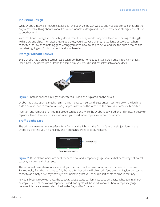#### **Industrial Design**

While Drobo's internal firmware capabilities revolutionize the way we use and manage storage, that isn't the only remarkable thing about Drobo. It's unique industrial design and user interface take storage ease-of-use to another level.

With traditional storage you must buy drives from the array vendor or you're faced with having to struggle with screw and clips. Then after they're deployed, you discover that they're too large or too loud. When capacity runs low or something goes wrong, you often have to be pro-active and use the admin tool to find out what's going on. Drobo makes this all much easier.

#### **Storage Without Screws**

Every Drobo has a unique carrier-less design, so there is no need to first insert a drive into a carrier. Just insert bare 3.5" drives into a Drobo the same way you would insert cassettes into a tape deck.



**Figure 1.** Data is analyzed in-flight as it enters a Drobo and is placed on the drives.

Drobo has a latch/spring mechanism, making it easy to insert and eject drives. Just hold down the latch to slide a drive in; and to remove a drive, just press down on the latch and the drive is automatically ejected.

Insertion and removal of drives in a Drobo can be done while the Drobo is powered on and in use. It's easy to replace a failed drive and to scale up when you need more capacity—without downtime.

#### **Traffic Light Easy**

The primary management interface for a Drobo is the lights on the front of the chassis. Just looking at a Drobo quickly tells you if it's healthy and if enough storage capacity remains.



**Figure 2.** Drive status indicators exist for each drive and a capacity gauge shows what percentage of overall capacity is currently being used.

The individual drive status indicators tell you the status of the drives or an action that needs to be taken. For example, if a drive happens to fail, the light for that drive will blink red. If you are running low on storage capacity, an empty drive bay shows yellow, indicating that you should insert another drive in that bay.

As you fill your Drobo with data, the capacity gauge starts to illuminate capacity gauge lights, ten in all. For example, if 20% of the overall capacity is used, two lights will be lit. A Drobo can have a capacity gauge because it is data aware (as described in the BeyondRAID paper).